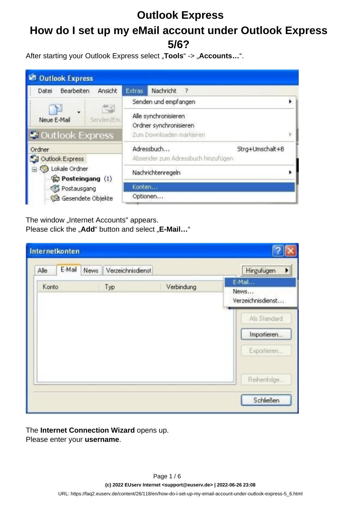# **How do I set up my eMail account under Outlook Express 5/6?**

After starting your Outlook Express select "Tools" -> "Accounts...".

| <b>W. Outlook Express</b>                                   |                                                                            |  |  |
|-------------------------------------------------------------|----------------------------------------------------------------------------|--|--|
| Ansicht<br>Bearbeiten<br>Datei                              | Nachricht<br><b>Extras</b><br>$\rightarrow$                                |  |  |
| 管理                                                          | Senden und empfangen                                                       |  |  |
| - E<br>Neue E-Mail<br>Senden/Em.<br><b>Coutlook Express</b> | Alle synchronisieren<br>Ordner synchronisieren<br>Zum Downloaden markieren |  |  |
| Ordner                                                      | Adressbuch<br>Strg+Umschalt+B                                              |  |  |
| Outlook Express                                             | Absender zum Adressbuch hinzufügen                                         |  |  |
| C Lokale Ordner<br>Posteingang (1)                          | Nachrichtenregeln                                                          |  |  |
| Postausgang                                                 | Konten                                                                     |  |  |
| Gesendete Objekte                                           | Optionen                                                                   |  |  |

The window "Internet Accounts" appears. Please click the "Add" button and select "E-Mail..."

| E-Mail<br>News Verzeichnisdienst<br>Alle<br>Konto<br>Typ | Verbindung | Hinzufügen<br>E-Mail      |  |
|----------------------------------------------------------|------------|---------------------------|--|
|                                                          |            |                           |  |
|                                                          |            | News<br>Verzeichnisdienst |  |
|                                                          |            | Als Standard              |  |
|                                                          |            | Importieren               |  |
|                                                          |            | Exportieren               |  |
|                                                          |            | Reihenfolge               |  |

The **Internet Connection Wizard** opens up. Please enter your **username**.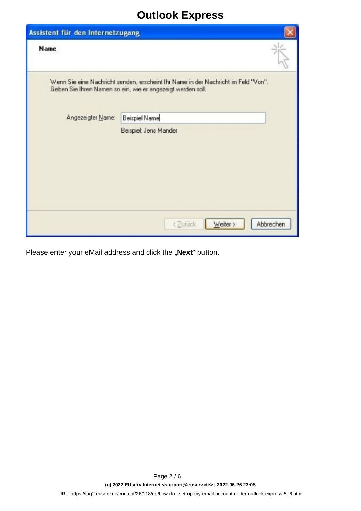| Assistent für den Internetzugang |                                                                                                                                                   |           |
|----------------------------------|---------------------------------------------------------------------------------------------------------------------------------------------------|-----------|
| Name                             |                                                                                                                                                   |           |
|                                  | Wenn Sie eine Nachricht senden, erscheint Ihr Name in der Nachricht im Feld "Von".<br>Geben Sie Ihren Namen so ein, wie er angezeigt werden soll. |           |
| Angezeigter Name:                | <b>Beispiel Name</b>                                                                                                                              |           |
|                                  | Beispiel: Jens Mander                                                                                                                             |           |
|                                  | <zurück<br>Weiter &gt;</zurück<br>                                                                                                                | Abbrechen |

Please enter your eMail address and click the "Next" button.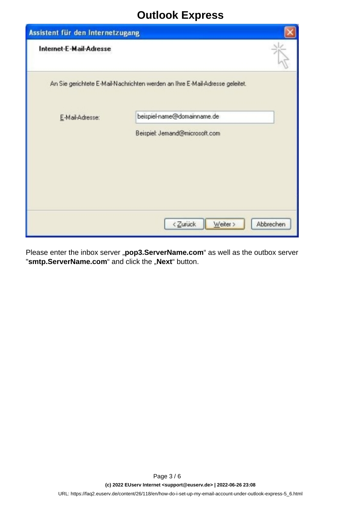| Assistent für den Internetzugang |                                                                              |           |
|----------------------------------|------------------------------------------------------------------------------|-----------|
| Internet-E-Mail-Adresse          |                                                                              |           |
|                                  | An Sie gerichtete E-Mail-Nachrichten werden an Ihre E-Mail-Adresse geleitet. |           |
| E-Mail-Adresse:                  | beispiel-name@domainname.de                                                  |           |
|                                  | Beispiel: Jemand@microsoft.com                                               |           |
|                                  |                                                                              |           |
|                                  |                                                                              |           |
|                                  |                                                                              |           |
|                                  | <zurück<br>Weiter &gt;</zurück<br>                                           | Abbrechen |

Please enter the inbox server "pop3.ServerName.com" as well as the outbox server "**smtp.ServerName.com**" and click the "Next" button.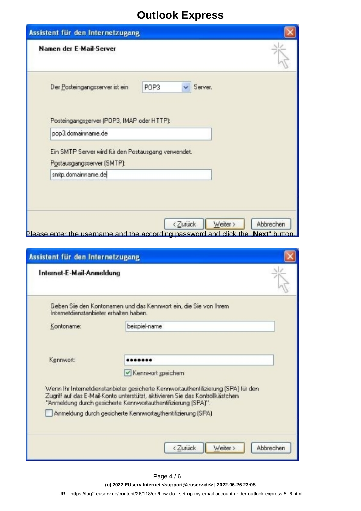| Namen der E-Mail-Server                                                           |                 |  |
|-----------------------------------------------------------------------------------|-----------------|--|
| Der Posteingangsserver ist ein                                                    | Server.<br>POP3 |  |
| Posteingangsserver (POP3, IMAP oder HTTP):<br>pop3.domainname.de                  |                 |  |
| Ein SMTP Server wird für den Postausgang verwendet.<br>Postausgangsserver (SMTP): |                 |  |
| smtp.domainname.de                                                                |                 |  |

| Assistent für den Internetzugang       |                                                                                                                                                |           |
|----------------------------------------|------------------------------------------------------------------------------------------------------------------------------------------------|-----------|
| Internet-E-Mail-Anmeldung              |                                                                                                                                                |           |
| Internetdienstanbieter erhalten haben. | Geben Sie den Kontonamen und das Kennwort ein, die Sie von Ihrem                                                                               |           |
| Kontoname:                             | beispiel-name                                                                                                                                  |           |
| Kennwort                               |                                                                                                                                                |           |
|                                        | Kennwort speichern<br>Wenn Ihr Internetdienstanbieter gesicherte Kennwortauthentifizierung (SPA) für den                                       |           |
|                                        | Zugriff auf das E-Mail-Konto unterstützt, aktivieren Sie das Kontrollkästchen<br>"Anmeldung durch gesicherte Kennwortauthentifizierung [SPA]". |           |
|                                        | Anmeldung durch gesicherte Kennwortauthentifizierung (SPA)                                                                                     |           |
|                                        | <zurück<br>Weiter &gt;</zurück<br>                                                                                                             | Abbrechen |

**(c) 2022 EUserv Internet <support@euserv.de> | 2022-06-26 23:08**

[URL: https://faq2.euserv.de/content/26/118/en/how-do-i-set-up-my-email-account-under-outlook-express-5\\_6.html](https://faq2.euserv.de/content/26/118/en/how-do-i-set-up-my-email-account-under-outlook-express-5_6.html)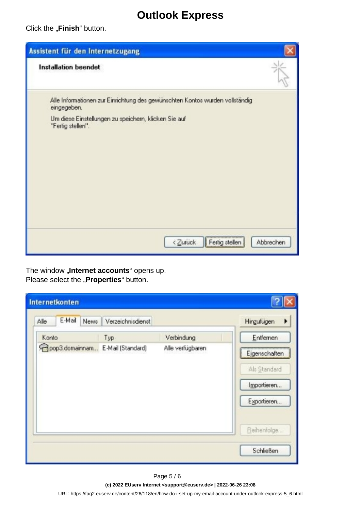Click the "Finish" button.

| Assistent für den Internetzugang                                                            |           |
|---------------------------------------------------------------------------------------------|-----------|
| <b>Installation beendet</b>                                                                 |           |
| Alle Informationen zur Einrichtung des gewünschten Kontos wurden vollständig<br>eingegeben. |           |
| Um diese Einstellungen zu speichern, klicken Sie auf<br>"Fertig stellen".                   |           |
|                                                                                             |           |
|                                                                                             |           |
|                                                                                             |           |
| Fertig stellen<br><zurück< td=""><td>Abbrechen</td></zurück<>                               | Abbrechen |

The window "Internet accounts" opens up. Please select the "**Properties**" button.

| Internetkonten                   |                   |                  |                  |
|----------------------------------|-------------------|------------------|------------------|
| E-Mail<br>News<br>Alle           | Verzeichnisdienst |                  | Hinzufügen       |
| Konto                            | Typ               | Verbindung       | Entfernen        |
| pop3.domainnam E-Mail (Standard) |                   | Alle verfügbaren | Ejgenschaften    |
|                                  |                   |                  | Als Standard     |
|                                  |                   |                  | Importieren      |
|                                  |                   |                  | Exportieren      |
|                                  |                   |                  | Reihenfolge      |
|                                  |                   |                  | <b>Schließen</b> |

Page 5 / 6

**(c) 2022 EUserv Internet <support@euserv.de> | 2022-06-26 23:08**

[URL: https://faq2.euserv.de/content/26/118/en/how-do-i-set-up-my-email-account-under-outlook-express-5\\_6.html](https://faq2.euserv.de/content/26/118/en/how-do-i-set-up-my-email-account-under-outlook-express-5_6.html)